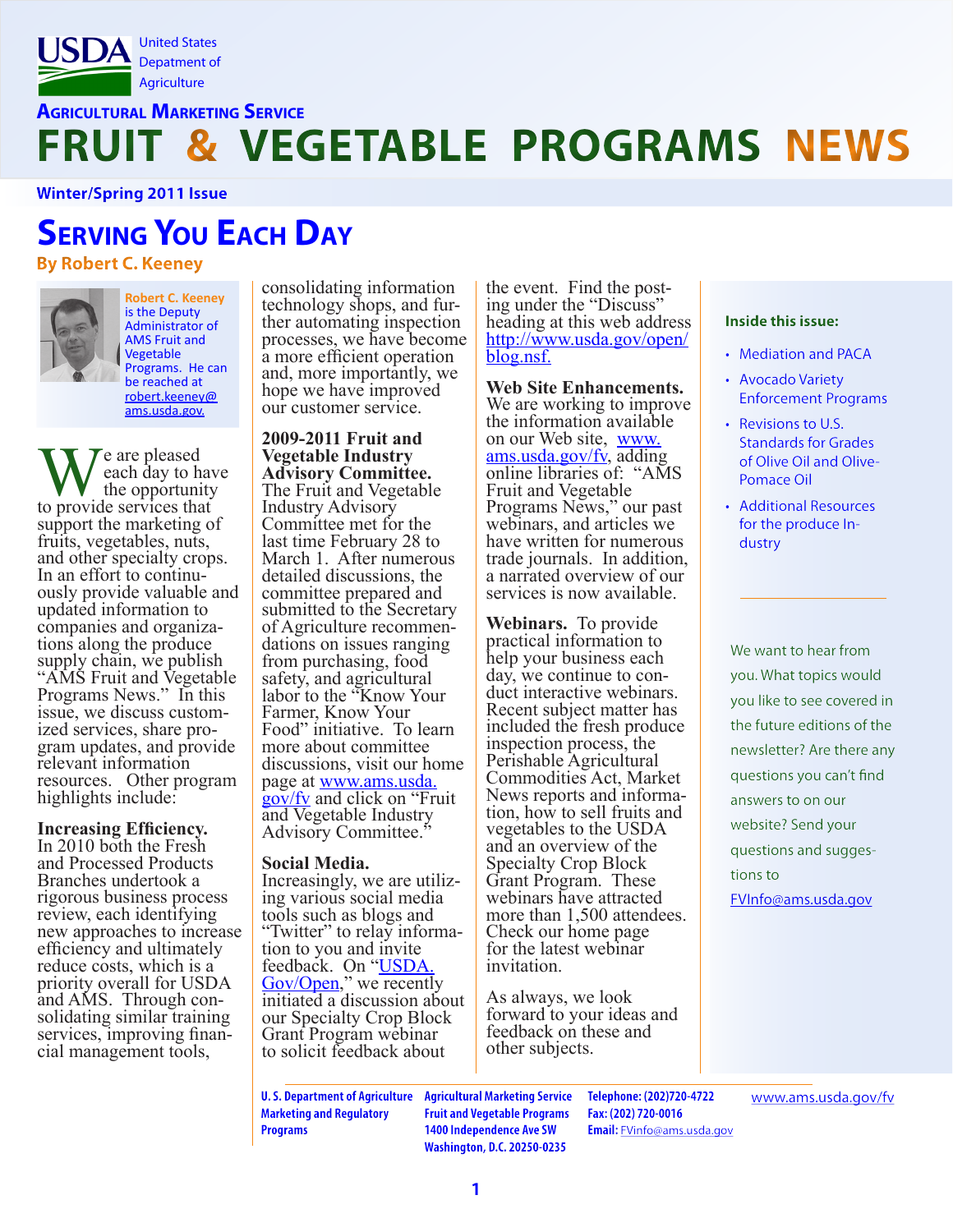

### **Agricultural Marketing Service FRUIT & VEGETABLE PROGRAMS NEWS**

**Winter/Spring 2011 Issue**

# **Serving You Each Day**

**By Robert C. Keeney**



**Robert C. Keeney**  is the Deputy Administrator of AMS Fruit and Vegetable Programs. He can be reached at [robert.keeney@](mailto:rober.keeney%40ams.usda.gov?subject=) [ams.usda.gov](mailto:rober.keeney%40ams.usda.gov?subject=).

We are pleased<br>the opportunity<br>to provide services that  $\int \chi$  are pleased each day to have the opportunity support the marketing of fruits, vegetables, nuts, and other specialty crops.<br>In an effort to continuously provide valuable and updated information to companies and organiza- tions along the produce supply chain, we publish "AMS Fruit and Vegetable Programs News." In this issue, we discuss custom- ized services, share pro- gram updates, and provide relevant information resources. Other program highlights include:

### **Increasing Efficiency.**

In 2010 both the Fresh and Processed Products Branches undertook a rigorous business process review, each identifying new approaches to increase efficiency and ultimately reduce costs, which is a priority overall for USDA and AMS. Through con- solidating similar training services, improving finan-<br>cial management tools,

consolidating information<br>technology shops, and further automating inspection processes, we have become a more efficient operation and, more importantly, we hope we have improved our customer service.

**2009-2011 Fruit and Vegetable Industry**  The Fruit and Vegetable. Industry Advisory Committee met for the last time February 28 to March 1. After numerous detailed discussions, the committee prepared and submitted to the Secretary of Agriculture recommen- dations on issues ranging from purchasing, food safety, and agricultural labor to the "Know Your Farmer, Know Your Food" initiative. To learn more about committee discussions, visit our home page at <u>www.ams.usda.</u> [gov/fv](http://www.ams.usda.gov/fv) and click on "Fruit and Vegetable Industry Advisory Committee."

**Social Media.**<br>Increasingly, we are utiliz-<br>ing various social media tools such as blogs and "Twitter" to relay informa- tion to you and invite feedback. On "USDA [Gov/Open](http://www.usda.gov/open)," we recently initiated a discussion about our Specialty Crop Block Grant Program webinar to solicit feedback about

the event. Find the post-<br>ing under the "Discuss" heading at this web address [http://www.usda.gov/open/](http://www.usda.gov/open/blog.nsf) [blog.nsf](http://www.usda.gov/open/blog.nsf).

**Web Site Enhancements.**  We are working to improve the information available on our Web site, [www.](http://www.ams.usda.gov/fv) [ams.usda.gov/fv](http://www.ams.usda.gov/fv), adding online libraries of: "AMS Fruit and Vegetable Programs News," our past webinars, and articles we have written for numerous trade journals. In addition, a narrated overview of our services is now available.

**Webinars.** To provide practical information to help your business each day, we continue to con- duct interactive webinars. Recent subject matter has included the fresh produce inspection process, the Perishable Agricultural Commodities Act, Market News reports and informa- tion, how to sell fruits and vegetables to the USDA and an overview of the Specialty Crop Block Grant Program. These webinars have attracted more than 1,500 attendees. Check our home page for the latest webinar invitation.

As always, we look forward to your ideas and feedback on these and other subjects.

### **Inside this issue:**

- Mediation and PACA
- • Avocado Variety Enforcement Programs
- • Revisions to U.S. Standards for Grades of Olive Oil and Olive-Pomace Oil
- • Additional Resources for the produce Industry

We want to hear from you. What topics would you like to see covered in the future editions of the newsletter? Are there any questions you can't find answers to on our website? Send your questions and suggestions to [FVInfo@ams.usda.gov](mailto:FVInfo%40ams.usda.gov?subject=)

**Marketing and Regulatory Programs**

**U. S. Department of Agriculture Agricultural Marketing Service Fruit and Vegetable Programs 1400 Independence Ave SW Washington, D.C. 20250-0235**

**Telephone: (202)720-4722 Fax: (202) 720-0016 Email:** [FVinfo@ams.usda.gov](mailto:FVinfo%40ams.usda.gov?subject=) [www.ams.usda.gov/fv](http://www.ams.usda.gov/fv)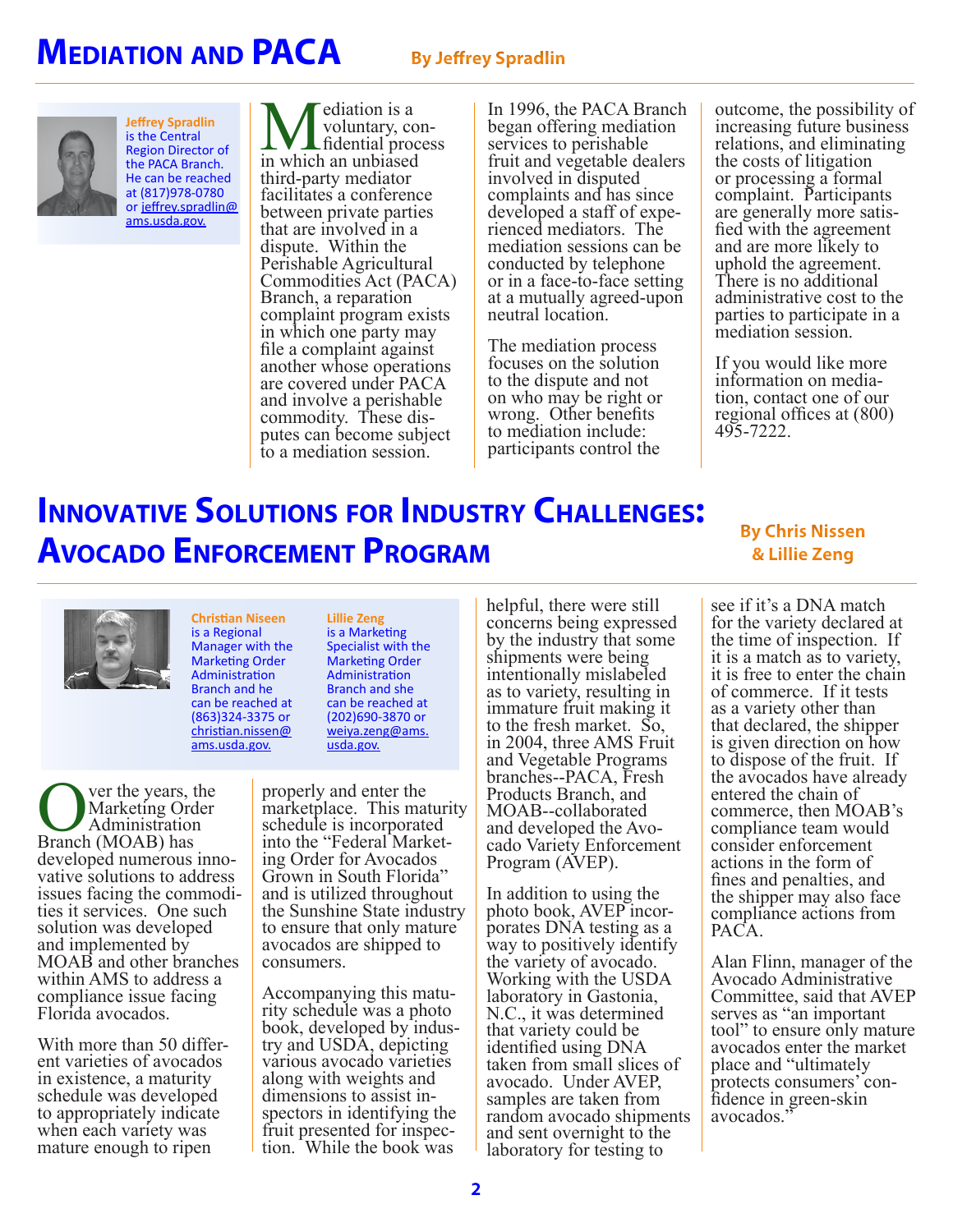## **MEDIATION AND PACA** By Jeffrey Spradlin



**Jeffrey Spradlin** is the Central Region Director of the PACA Branch. He can be reached at (817)978-0780 or [jeffrey.spradlin@](mailto:jeffrey.spradlin%40ams.usda.gov?subject=) [ams.usda.gov](mailto:jeffrey.spradlin%40ams.usda.gov?subject=).

**M**ediation is a<br>
voluntary, con<br>
in which an unbiased voluntary, con-<br>fidential process third-party mediator facilitates a conference between private parties that are involved in a dispute. Within the Perishable Agricultural Commodities Act (PACA) Branch, a reparation complaint program exists in which one party may file a complaint against another whose operations are covered under PACA and involve a perishable<br>commodity. These disputes can become subject to a mediation session.

In 1996, the PACA Branch began offering mediation services to perishable fruit and vegetable dealers involved in disputed complaints and has since developed a staff of expe- rienced mediators. The mediation sessions can be conducted by telephone or in a face-to-face setting at a mutually agreed-upon neutral location.

The mediation process focuses on the solution to the dispute and not on who may be right or wrong. Other benefits to mediation include: participants control the

outcome, the possibility of increasing future business relations, and eliminating the costs of litigation or processing a formal complaint. Participants<br>are generally more satisfied with the agreement and are more likely to uphold the agreement. There is no additional administrative cost to the parties to participate in a mediation session.

If you would like more information on media- tion, contact one of our regional offices at (800) 495-7222.

## **Innovative Solutions for Industry Challenges: Avocado Enforcement Program**

### **By Chris Nissen & Lillie Zeng**



**Christian Niseen** is a Regional Manager with the Marketing Order Administration Branch and he can be reached at (863)324-3375 or [christian.nissen@](mailto:christian.nissen%40ams.usda.gov?subject=) [ams.usda.gov](mailto:christian.nissen%40ams.usda.gov?subject=).

**OVER THE YEARS**, the Marketing Order<br>Branch (MOAB) has Marketing Order Administration developed numerous inno- vative solutions to address issues facing the commodi- ties it services. One such solution was developed and implemented by MOAB and other branches within AMS to address a compliance issue facing Florida avocados.

With more than 50 differ-<br>ent varieties of avocados in existence, a maturity schedule was developed to appropriately indicate when each variety was mature enough to ripen

**Lillie Zeng** is a Marketing Specialist with the Marketing Order Administration Branch and she can be reached at (202)690-3870 or [weiya.zeng@ams.](mailto:weiya.zeng%40ams.usda.gov?subject=) [usda.gov.](mailto:weiya.zeng%40ams.usda.gov?subject=)

properly and enter the marketplace. This maturity schedule is incorporated<br>into the "Federal Marketinto the "Federal Market-<br>ing Order for Avocados Grown in South Florida" and is utilized throughout the Sunshine State industry to ensure that only mature avocados are shipped to consumers.

Accompanying this matu- rity schedule was a photo book, developed by indus- try and USDA, depicting various avocado varieties along with weights and<br>dimensions to assist inspectors in identifying the fruit presented for inspec- tion. While the book was

helpful, there were still concerns being expressed by the industry that some shipments were being intentionally mislabeled as to variety, resulting in immature fruit making it to the fresh market. So, in 2004, three AMS Fruit and Vegetable Programs branches--PACA, Fresh Products Branch, and MOAB--collaborated<br>and developed the Avocado Variety Enforcement Program (AVEP).

In addition to using the photo book, AVEP incor-<br>porates DNA testing as a way to positively identify the variety of avocado. Working with the USDA laboratory in Gastonia, N.C., it was determined that variety could be identified using DNA taken from small slices of avocado. Under AVEP, samples are taken from random avocado shipments and sent overnight to the laboratory for testing to

see if it's a DNA match for the variety declared at the time of inspection. If it is a match as to variety, it is free to enter the chain of commerce. If it tests as a variety other than that declared, the shipper is given direction on how to dispose of the fruit. If the avocados have already entered the chain of commerce, then MOAB's compliance team would consider enforcement actions in the form of fines and penalties, and the shipper may also face compliance actions from PACA.

Alan Flinn, manager of the Avocado Administrative Committee, said that AVEP serves as "an important tool" to ensure only mature avocados enter the market place and "ultimately protects consumers' con- fidence in green-skin avocados."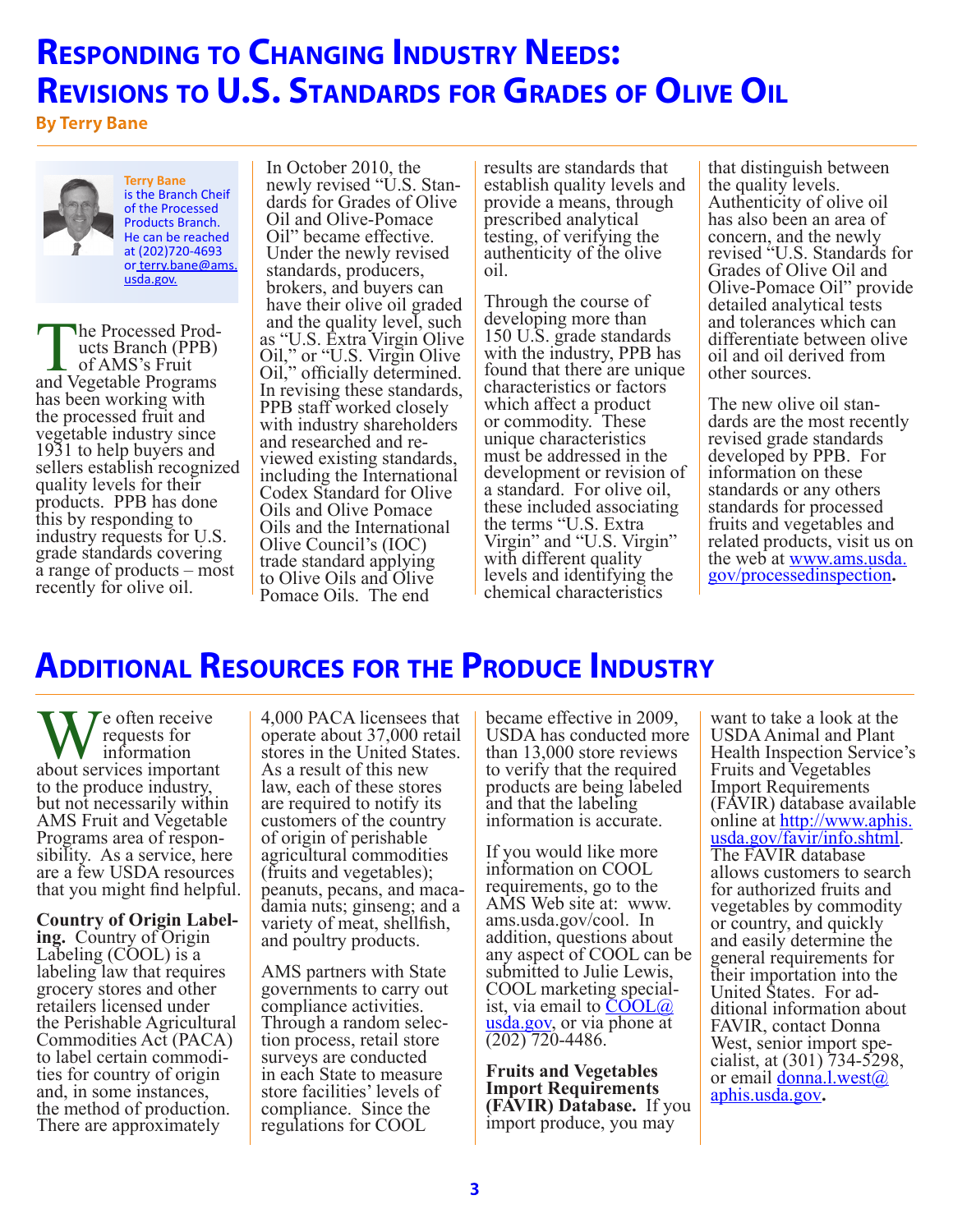## **Responding to Changing Industry Needs: Revisions to U.S. Standards for Grades of Olive Oil**

**By Terry Bane**



**Terry Bane**  is the Branch Cheif of the Processed Products Branch. He can be reached at (202)720-4693 or [terry.bane@ams.](mailto:terry.bane%40ams.usda.gov?subject=) [usda.gov.](mailto:terry.bane%40ams.usda.gov?subject=)

The Processed Prod-<br>
ucts Branch (PPB)<br>
of AMS's Fruit<br>
and Vegetable Programs of AMS's Fruit has been working with the processed fruit and vegetable industry since 1931 to help buyers and sellers establish recognized quality levels for their products. PPB has done this by responding to industry requests for U.S. grade standards covering a range of products – most recently for olive oil.

In October 2010, the<br>newly revised "U.S. Standards for Grades of Olive Oil and Olive-Pomace Oil" became effective. Under the newly revised standards, producers, brokers, and buyers can have their olive oil graded and the quality level, such as "U.S. Extra Virgin Olive Oil," or "U.S. Virgin Olive Oil," officially determined. In revising these standards, PPB staff worked closely with industry shareholders<br>and researched and reviewed existing standards, including the International Codex Standard for Olive Oils and Olive Pomace Oils and the International Olive Council's (IOC) trade standard applying to Olive Oils and Olive Pomace Oils. The end

results are standards that establish quality levels and provide a means, through prescribed analytical testing, of verifying the authenticity of the olive oil.

Through the course of developing more than 150 U.S. grade standards with the industry, PPB has found that there are unique characteristics or factors which affect a product or commodity. These unique characteristics must be addressed in the development or revision of a standard. For olive oil, these included associating the terms "U.S. Extra Virgin" and "U.S. Virgin" with different quality levels and identifying the chemical characteristics

that distinguish between the quality levels. Authenticity of olive oil has also been an area of concern, and the newly revised "U.S. Standards for Grades of Olive Oil and Olive-Pomace Oil" provide detailed analytical tests and tolerances which can differentiate between olive oil and oil derived from other sources.

The new olive oil stan- dards are the most recently revised grade standards developed by PPB. For information on these standards or any others standards for processed fruits and vegetables and related products, visit us on the web at <u>[www.ams.usda.](http://www.ams.usda.gov/processedinspection)</u> [gov/processedinspection](http://www.ams.usda.gov/processedinspection)**.**

## **Additional Resources for the Produce Industry**

We often receive<br>
requests for<br>
about services important requests for information to the produce industry, but not necessarily within AMS Fruit and Vegetable Programs area of respon- sibility. As a service, here are a few USDA resources that you might find helpful.

**Country of Origin Label- ing.** Country of Origin Labeling (COOL) is a labeling law that requires grocery stores and other retailers licensed under the Perishable Agricultural Commodities Act (PACA) to label certain commodi- ties for country of origin and, in some instances, the method of production. There are approximately

4,000 PACA licensees that operate about 37,000 retail stores in the United States. As a result of this new law, each of these stores are required to notify its customers of the country of origin of perishable agricultural commodities (fruits and vegetables); peanuts, pecans, and maca- damia nuts; ginseng; and a variety of meat, shellfish, and poultry products.

AMS partners with State governments to carry out compliance activities. Through a random selection process, retail store surveys are conducted in each State to measure store facilities' levels of compliance. Since the regulations for COOL

became effective in 2009, USDA has conducted more than 13,000 store reviews to verify that the required products are being labeled and that the labeling information is accurate.

If you would like more information on COOL requirements, go to the AMS Web site at: www. ams.usda.gov/cool. In addition, questions about any aspect of COOL can be submitted to Julie Lewis, COOL marketing special-<br>ist, via email to  $\text{COOL}(a)$ [usda.gov](mailto:COOL%40usda.gov?subject=), or via phone at (202) 720-4486.

**Fruits and Vegetables Import Requirements (FAVIR) Database.** If you import produce, you may

want to take a look at the USDA Animal and Plant Health Inspection Service's Fruits and Vegetables Import Requirements (FAVIR) database available online at [http://www.aphis.](http://www.aphis.usda.gov/favir/info.shtml) [usda.gov/favir/info.shtml.](http://www.aphis.usda.gov/favir/info.shtml)<br>The FAVIR database allows customers to search for authorized fruits and vegetables by commodity or country, and quickly and easily determine the general requirements for their importation into the<br>United States. For additional information about FAVIR, contact Donna<br>West, senior import specialist, at  $(301)$  734-5298, or email [donna.l.west@](mailto:donna.l.west%40aphis.usda.gov?subject=) [aphis.usda.gov](mailto:donna.l.west%40aphis.usda.gov?subject=)**.**